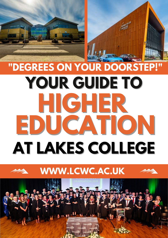# **"DEGREES ON YOUR DOORSTEP! YOUR GUIDE TO HIGHER EDUCATION AT LAKES COLLEGE**

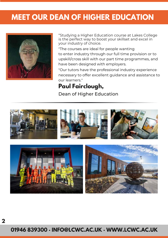### **MEET OUR DEAN OF HIGHER EDUCATION**



"Studying a Higher Education course at Lakes College is the perfect way to boost your skillset and excel in your industry of choice.

"The courses are ideal for people wanting to enter industry through our full time provision or to upskill/cross skill with our part time programmes, and have been designed with employers.

"Our tutors have the professional industry experience necessary to offer excellent guidance and assistance to our learners."

#### **Paul Fairclough,**

Dean of Higher Education



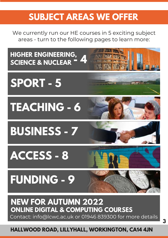## **SUBJECT AREAS WE OFFER**

We currently run our HE courses in 5 exciting subject areas - turn to the following pages to learn more:

**HIGHER ENGINEERING, SCIENCE & NUCLEAR** 



## **SPORT - 5**

**TEACHING - 6**

**BUSINESS - 7**

**ACCESS - 8**



## **FUNDING - 9**



## **NEW FOR AUTUMN 2022 ONLINE DIGITAL & COMPUTING COURSES**

Contact: info@lcwc.ac.uk or 01946 839300 for more details

#### **HALLWOOD ROAD, LILLYHALL, WORKINGTON, CA14 4JN**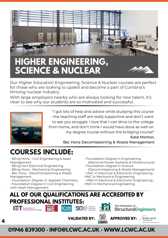

## **HIGHER ENGINEERING, SCIENCE & NUCLEAR**

Our Higher Education Engineering, Science & Nuclear courses are perfect for those who are looking to upskill and become a part of Cumbria's thriving nuclear industry.

With large employers nearby who are always looking for new talent, it's clear to see why our students are so motivated and successful.



"I got lots of help and advice while studying this course - the teaching staff are really supportive and don't want to see you struggle. I love that I can drive to the college from home, and don't think I would have done as well on my degree course without the bridging course!" Kate Morton,

Bsc Hons Decomissioning & Waste Management

## **COURSES INCLUDE:**

• BEng Hons - Civil Engineering & Asset Management

- BEng Hon Electrical Engineering
- BEng Hons Mechanical Engineering
- Bsc Hons Decommissioning & Waste Management
- Foundation Degree in Applied Chemistry
- Foundation Degree in Civil Engineering with Asset Management
- Foundation Degree in Engineering (Electrical Power Systems & Infrastructure)
- Foundation Degree in Science (Decommissioning & Waste Management)
- HNC in Electrical & Electronic Engineering •
- HNC in Mechanical Engineering • HND in Electrical & Electronic Engineering •
- HND in Mechanical Engineering

#### **ALL OF OUR QUALIFICATIONS ARE ACCREDITED BY PROFESSIONAL INSTITUTES:**<br>
Final **Institute of SO e** Specifical Secrets of the specific The Institution of



**4**





NATIONAL COLLEGE

**VALIDATED BY: APPROVED BY:**<br>CUMBRIA

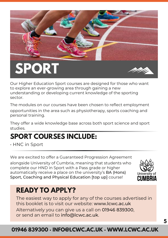

Our Higher Education Sport courses are designed for those who want to explore an ever-growing area through gaining a new understanding or developing current knowledge of the sporting sector.

The modules on our courses have been chosen to reflect employment opportunities in the area such as physiotherapy, sports coaching and personal training.

They offer a wide knowledge base across both sport science and sport studies.

## **SPORT COURSES INCLUDE:**

• HNC in Sport

We are excited to offer a Guaranteed Progression Agreement

alongside University of Cumbria, meaning that students who complete our HND in Sport with a Pass grade or higher automatically receive a place on the university's BA (Hons) Sport, Coaching and Physical Education [top up] course!



### **READY TO APPLY?**

The easiest way to apply for any of the courses advertised in this booklet is to visit our website: www.lcwc.ac.uk Alternatively you can give us a call on 01946 839300, or send an email to info@lcwc.ac.uk.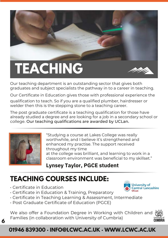# **TEACHING**



University of **Central Lancashire** 

Our teaching department is an outstanding sector that gives both graduates and subject specialists the pathway in to a career in teaching.

Our Certificate in Education gives those with professional experience the qualification to teach. So if you are a qualified plumber, hairdresser or welder then this is the stepping stone to a teaching career.

The post graduate certificate is a teaching qualification for those have already studied a degree and are looking for a job in a secondary school or college. Our teaching qualifications are awarded by UCLan.



"Studying a course at Lakes College was really worthwhile, and I believe it's strengthened and enhanced my practise. The support received throughout my time at the college was brilliant, and learning to work in a classroom environment was beneficial to my skillset."

#### **Lynsey Taylor, PGCE student**

## **TEACHING COURSES INCLUDE:**

- Certificate in Education
- Certificate in Education & Training, Preparatory
- Certificate in Teaching Learning & Assessment, Intermediate
- Post Graduate Certificate of Education (PGCE)

We also offer a Foundation Degree in Working with Children and Families (in collaboration with University of Cumbria)



#### **01946 839300 · INFO@LCWC.AC.UK · WWW.LCWC.AC.UK**

**6**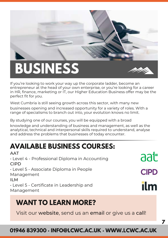

## **BUSINESS**



aat

**CIPD** 

ilm

**7**

If you're looking to work your way up the corporate ladder, become an entrepreneur at the head of your own enterprise, or you're looking for a career in HR, finance, marketing or IT, our Higher Education Business offer may be the perfect fit for you.

West Cumbria is still seeing growth across this sector, with many new businesses opening and increased opportunity for a variety of roles. With a range of specialisms to branch out into, your evolution knows no limit.

By studying one of our courses, you will be equipped with a broad knowledge and understanding of business and management, as well as the analytical, technical and interpersonal skills required to understand, analyse and address the problems that businesses of today encounter.

## **AVAILABLE BUSINESS COURSES:**

**AAT** • Level 4 - Professional Diploma in Accounting CIPD • Level 5 - Associate Diploma in People Management ILM • Level 5 - Certificate in Leadership and Management

### **WANT TO LEARN MORE?**

Visit our website, send us an email or give us a call!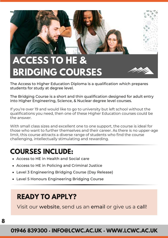

## **ACCESS TO HE & BRIDGING COURSES**

The Access to Higher Education Diploma is a qualification which prepares students for study at degree level.

The Bridging Course is a short and thin qualification designed for adult entry into Higher Engineering, Science, & Nuclear degree level courses.

If you're over 19 and would like to go to university but left school without the qualifications you need, then one of these Higher Education courses could be the answer.

With small class sizes and excellent one to one support, the course is ideal for those who want to further themselves and their career. As there is no upper-age limit, this course attracts a diverse range of students who find the course challenging, intellectually stimulating and rewarding.

### **COURSES INCLUDE:**

- Access to HE in Health and Social care
- Access to HE in Policing and Criminal Justice
- Level 3 Engineering Bridging Course (Day Release)
- Level 5 Honours Engineering Bridging Course

#### **READY TO APPLY?**

Visit our website, send us an email or give us a call!

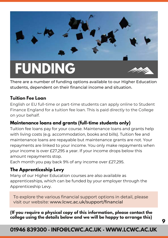

There are a number of funding options available to our Higher Education students, dependent on their financial income and situation.

#### **Tuition Fee Loan**

English or EU full-time or part-time students can apply online to Student Finance England for a tuition fee loan. This is paid directly to the College on your behalf.

#### **Maintenance loans and grants (full-time students only)**

Tuition fee loans pay for your course. Maintenance loans and grants help with living costs (e.g. accommodation, books and bills). Tuition fee and maintenance loans are repayable but maintenance grants are not. Your repayments are linked to your income. You only make repayments when your income is over £27,295 a year. If your income drops below this amount repayments stop.

Each month you pay back 9% of any income over £27,295.

#### **The Apprenticeship Levy**

Many of our Higher Education courses are also available as apprenticeships, which can be funded by your employer through the Apprenticeship Levy.

To explore the various financial support options in detail, please visit our website: www.lcwc.ac.uk/support/financial

**(If you require a physical copy of this information, please contact the college using the details below and we will be happy to arrange this)**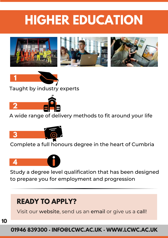## **HIGHER EDUCATION**





Taught by industry experts



A wide range of delivery methods to fit around your life



Complete a full honours degree in the heart of Cumbria



Study a degree level qualification that has been designed to prepare you for employment and progression

## **READY TO APPLY?**

Visit our website, send us an email or give us a call!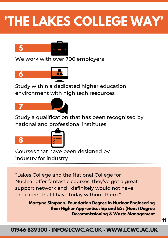## **'THE LAKES COLLEGE WAY'**



We work with over 700 employers



Study within a dedicated higher education environment with high tech resources



Study a qualification that has been recognised by national and professional institutes



**8**

**5** Courses that have been designed by industry for industry

"Lakes College and the National College for Nuclear offer fantastic courses, they've got a great support network and I definitely would not have the career that I have today without them."

> **Martyne Simpson, Foundation Degree in Nuclear Engineering then Higher Apprenticeship and BSc (Hons) Degree Decommissioning & Waste Management**